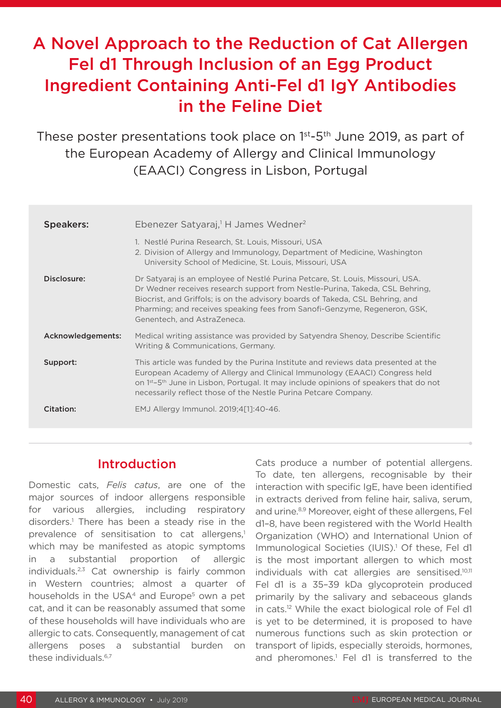# A Novel Approach to the Reduction of Cat Allergen Fel d1 Through Inclusion of an Egg Product Ingredient Containing Anti-Fel d1 IgY Antibodies in the Feline Diet

These poster presentations took place on 1<sup>st</sup>-5<sup>th</sup> June 2019, as part of the European Academy of Allergy and Clinical Immunology (EAACI) Congress in Lisbon, Portugal

| <b>Speakers:</b>  | Ebenezer Satyaraj, <sup>1</sup> H James Wedner <sup>2</sup>                                                                                                                                                                                                                                                                                                 |
|-------------------|-------------------------------------------------------------------------------------------------------------------------------------------------------------------------------------------------------------------------------------------------------------------------------------------------------------------------------------------------------------|
|                   | 1. Nestlé Purina Research, St. Louis, Missouri, USA<br>2. Division of Allergy and Immunology, Department of Medicine, Washington<br>University School of Medicine, St. Louis, Missouri, USA                                                                                                                                                                 |
| Disclosure:       | Dr Satyaraj is an employee of Nestlé Purina Petcare, St. Louis, Missouri, USA.<br>Dr Wedner receives research support from Nestle-Purina, Takeda, CSL Behring,<br>Biocrist, and Griffols; is on the advisory boards of Takeda, CSL Behring, and<br>Pharming; and receives speaking fees from Sanofi-Genzyme, Regeneron, GSK,<br>Genentech, and AstraZeneca. |
| Acknowledgements: | Medical writing assistance was provided by Satyendra Shenoy, Describe Scientific<br>Writing & Communications, Germany.                                                                                                                                                                                                                                      |
| Support:          | This article was funded by the Purina Institute and reviews data presented at the<br>European Academy of Allergy and Clinical Immunology (EAACI) Congress held<br>on 1 <sup>st</sup> -5 <sup>th</sup> June in Lisbon, Portugal. It may include opinions of speakers that do not<br>necessarily reflect those of the Nestle Purina Petcare Company.          |
| Citation:         | EMJ Allergy Immunol. 2019;4[1]:40-46.                                                                                                                                                                                                                                                                                                                       |

#### Introduction

Domestic cats, *Felis catus*, are one of the major sources of indoor allergens responsible for various allergies, including respiratory disorders.<sup>1</sup> There has been a steady rise in the prevalence of sensitisation to cat allergens,<sup>1</sup> which may be manifested as atopic symptoms in a substantial proportion of allergic individuals.2,3 Cat ownership is fairly common in Western countries; almost a quarter of households in the USA<sup>4</sup> and Europe<sup>5</sup> own a pet cat, and it can be reasonably assumed that some of these households will have individuals who are allergic to cats. Consequently, management of cat allergens poses a substantial burden on these individuals.<sup>6,7</sup>

Cats produce a number of potential allergens. To date, ten allergens, recognisable by their interaction with specific IgE, have been identified in extracts derived from feline hair, saliva, serum, and urine.<sup>8,9</sup> Moreover, eight of these allergens, Fel d1–8, have been registered with the World Health Organization (WHO) and International Union of Immunological Societies (IUIS).<sup>1</sup> Of these, Fel d1 is the most important allergen to which most individuals with cat allergies are sensitised.10,11 Fel d1 is a 35–39 kDa glycoprotein produced primarily by the salivary and sebaceous glands in cats.12 While the exact biological role of Fel d1 is yet to be determined, it is proposed to have numerous functions such as skin protection or transport of lipids, especially steroids, hormones, and pheromones.<sup>1</sup> Fel d1 is transferred to the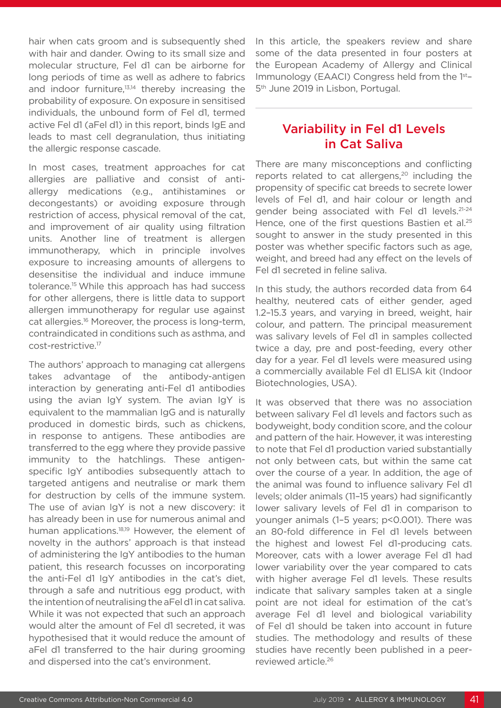hair when cats groom and is subsequently shed with hair and dander. Owing to its small size and molecular structure, Fel d1 can be airborne for long periods of time as well as adhere to fabrics and indoor furniture.<sup>13,14</sup> thereby increasing the probability of exposure. On exposure in sensitised individuals, the unbound form of Fel d1, termed active Fel d1 (aFel d1) in this report, binds IgE and leads to mast cell degranulation, thus initiating the allergic response cascade.

In most cases, treatment approaches for cat allergies are palliative and consist of antiallergy medications (e.g., antihistamines or decongestants) or avoiding exposure through restriction of access, physical removal of the cat, and improvement of air quality using filtration units. Another line of treatment is allergen immunotherapy, which in principle involves exposure to increasing amounts of allergens to desensitise the individual and induce immune tolerance.15 While this approach has had success for other allergens, there is little data to support allergen immunotherapy for regular use against cat allergies.16 Moreover, the process is long-term, contraindicated in conditions such as asthma, and cost-restrictive.17

The authors' approach to managing cat allergens takes advantage of the antibody-antigen interaction by generating anti-Fel d1 antibodies using the avian IgY system. The avian IgY is equivalent to the mammalian IgG and is naturally produced in domestic birds, such as chickens, in response to antigens. These antibodies are transferred to the egg where they provide passive immunity to the hatchlings. These antigenspecific IgY antibodies subsequently attach to targeted antigens and neutralise or mark them for destruction by cells of the immune system. The use of avian IgY is not a new discovery: it has already been in use for numerous animal and human applications.<sup>18,19</sup> However, the element of novelty in the authors' approach is that instead of administering the IgY antibodies to the human patient, this research focusses on incorporating the anti-Fel d1 IgY antibodies in the cat's diet, through a safe and nutritious egg product, with the intention of neutralising the aFel d1 in cat saliva. While it was not expected that such an approach would alter the amount of Fel d1 secreted, it was hypothesised that it would reduce the amount of aFel d1 transferred to the hair during grooming and dispersed into the cat's environment.

In this article, the speakers review and share some of the data presented in four posters at the European Academy of Allergy and Clinical Immunology (EAACI) Congress held from the 1st– 5<sup>th</sup> June 2019 in Lisbon, Portugal.

### Variability in Fel d1 Levels in Cat Saliva

There are many misconceptions and conflicting reports related to cat allergens, $20$  including the propensity of specific cat breeds to secrete lower levels of Fel d1, and hair colour or length and gender being associated with Fel d1 levels.21-24 Hence, one of the first questions Bastien et al.<sup>25</sup> sought to answer in the study presented in this poster was whether specific factors such as age, weight, and breed had any effect on the levels of Fel d1 secreted in feline saliva.

In this study, the authors recorded data from 64 healthy, neutered cats of either gender, aged 1.2–15.3 years, and varying in breed, weight, hair colour, and pattern. The principal measurement was salivary levels of Fel d1 in samples collected twice a day, pre and post-feeding, every other day for a year. Fel d1 levels were measured using a commercially available Fel d1 ELISA kit (Indoor Biotechnologies, USA).

It was observed that there was no association between salivary Fel d1 levels and factors such as bodyweight, body condition score, and the colour and pattern of the hair. However, it was interesting to note that Fel d1 production varied substantially not only between cats, but within the same cat over the course of a year. In addition, the age of the animal was found to influence salivary Fel d1 levels; older animals (11–15 years) had significantly lower salivary levels of Fel d1 in comparison to younger animals (1-5 years; p<0.001). There was an 80-fold difference in Fel d1 levels between the highest and lowest Fel d1-producing cats. Moreover, cats with a lower average Fel d1 had lower variability over the year compared to cats with higher average Fel d1 levels. These results indicate that salivary samples taken at a single point are not ideal for estimation of the cat's average Fel d1 level and biological variability of Fel d1 should be taken into account in future studies. The methodology and results of these studies have recently been published in a peerreviewed article.26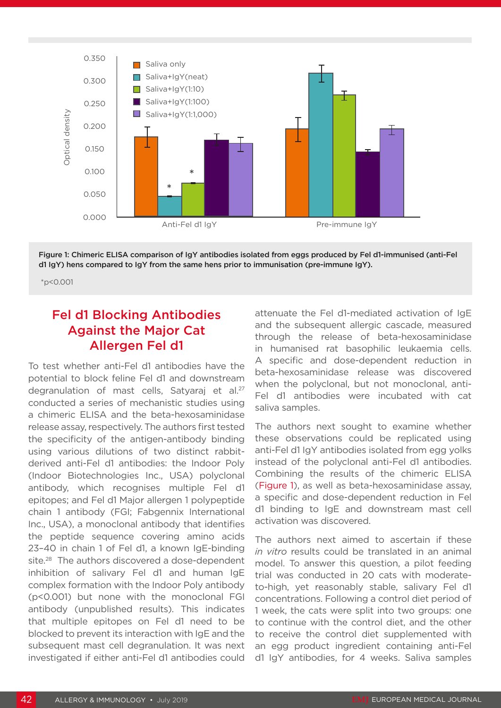

Figure 1: Chimeric ELISA comparison of IgY antibodies isolated from eggs produced by Fel d1-immunised (anti-Fel d1 IgY) hens compared to IgY from the same hens prior to immunisation (pre-immune IgY).

\*p<0.001

### Fel d1 Blocking Antibodies Against the Major Cat Allergen Fel d1

To test whether anti-Fel d1 antibodies have the potential to block feline Fel d1 and downstream degranulation of mast cells, Satyaraj et al.<sup>27</sup> conducted a series of mechanistic studies using a chimeric ELISA and the beta-hexosaminidase release assay, respectively. The authors first tested the specificity of the antigen-antibody binding using various dilutions of two distinct rabbitderived anti-Fel d1 antibodies: the Indoor Poly (Indoor Biotechnologies Inc., USA) polyclonal antibody, which recognises multiple Fel d1 epitopes; and Fel d1 Major allergen 1 polypeptide chain 1 antibody (FGI; Fabgennix International Inc., USA), a monoclonal antibody that identifies the peptide sequence covering amino acids 23–40 in chain 1 of Fel d1, a known IgE-binding site.<sup>28</sup> The authors discovered a dose-dependent inhibition of salivary Fel d1 and human IgE complex formation with the Indoor Poly antibody (p<0.001) but none with the monoclonal FGI antibody (unpublished results). This indicates that multiple epitopes on Fel d1 need to be blocked to prevent its interaction with IgE and the subsequent mast cell degranulation. It was next investigated if either anti-Fel d1 antibodies could

attenuate the Fel d1-mediated activation of IgE and the subsequent allergic cascade, measured through the release of beta-hexosaminidase in humanised rat basophilic leukaemia cells. A specific and dose-dependent reduction in beta-hexosaminidase release was discovered when the polyclonal, but not monoclonal, anti-Fel d1 antibodies were incubated with cat saliva samples.

The authors next sought to examine whether these observations could be replicated using anti-Fel d1 IgY antibodies isolated from egg yolks instead of the polyclonal anti-Fel d1 antibodies. Combining the results of the chimeric ELISA (Figure 1), as well as beta-hexosaminidase assay, a specific and dose-dependent reduction in Fel d1 binding to IgE and downstream mast cell activation was discovered.

The authors next aimed to ascertain if these *in vitro* results could be translated in an animal model. To answer this question, a pilot feeding trial was conducted in 20 cats with moderateto-high, yet reasonably stable, salivary Fel d1 concentrations. Following a control diet period of 1 week, the cats were split into two groups: one to continue with the control diet, and the other to receive the control diet supplemented with an egg product ingredient containing anti-Fel d1 IgY antibodies, for 4 weeks. Saliva samples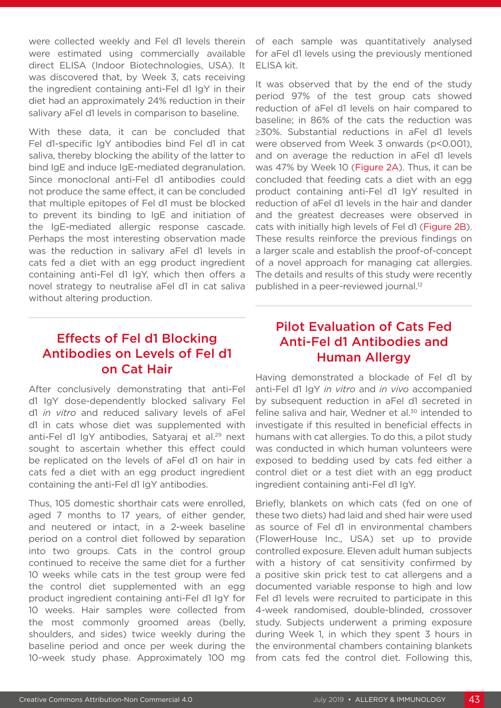were collected weekly and Fel d1 levels therein were estimated using commercially available direct ELISA (Indoor Biotechnologies, USA). It was discovered that, by Week 3, cats receiving the ingredient containing anti-Fel d1 IgY in their diet had an approximately 24% reduction in their salivary aFel d1 levels in comparison to baseline.

With these data, it can be concluded that Fel d1-specific IgY antibodies bind Fel d1 in cat saliva, thereby blocking the ability of the latter to bind IgE and induce IgE-mediated degranulation. Since monoclonal anti-Fel d1 antibodies could not produce the same effect, it can be concluded that multiple epitopes of Fel d1 must be blocked to prevent its binding to IgE and initiation of the IgE-mediated allergic response cascade. Perhaps the most interesting observation made was the reduction in salivary aFel d1 levels in cats fed a diet with an egg product ingredient containing anti-Fel d1 IgY, which then offers a novel strategy to neutralise aFel d1 in cat saliva without altering production.

### Effects of Fel d1 Blocking Antibodies on Levels of Fel d1 on Cat Hair

After conclusively demonstrating that anti-Fel d1 IgY dose-dependently blocked salivary Fel d1 *in vitro* and reduced salivary levels of aFel d1 in cats whose diet was supplemented with anti-Fel d1 IgY antibodies, Satyaraj et al.<sup>29</sup> next sought to ascertain whether this effect could be replicated on the levels of aFel d1 on hair in cats fed a diet with an egg product ingredient containing the anti-Fel d1 IgY antibodies.

Thus, 105 domestic shorthair cats were enrolled, aged 7 months to 17 years, of either gender, and neutered or intact, in a 2-week baseline period on a control diet followed by separation into two groups. Cats in the control group continued to receive the same diet for a further 10 weeks while cats in the test group were fed the control diet supplemented with an egg product ingredient containing anti-Fel d1 IgY for 10 weeks. Hair samples were collected from the most commonly groomed areas (belly, shoulders, and sides) twice weekly during the baseline period and once per week during the 10-week study phase. Approximately 100 mg

of each sample was quantitatively analysed for aFel d1 levels using the previously mentioned ELISA kit.

It was observed that by the end of the study period 97% of the test group cats showed reduction of aFel d1 levels on hair compared to baseline; in 86% of the cats the reduction was ≥30%. Substantial reductions in aFel d1 levels were observed from Week 3 onwards (p<0.001). and on average the reduction in aFel d1 levels was 47% by Week 10 (Figure 2A). Thus, it can be concluded that feeding cats a diet with an egg product containing anti-Fel d1 IgY resulted in reduction of aFel d1 levels in the hair and dander and the greatest decreases were observed in cats with initially high levels of Fel d1 (Figure 2B). These results reinforce the previous findings on a larger scale and establish the proof-of-concept of a novel approach for managing cat allergies. The details and results of this study were recently published in a peer-reviewed journal.<sup>12</sup>

## Pilot Evaluation of Cats Fed Anti-Fel d1 Antibodies and Human Allergy

Having demonstrated a blockade of Fel d1 by anti-Fel d1 IgY *in vitro* and *in vivo* accompanied by subsequent reduction in aFel d1 secreted in feline saliva and hair. Wedner et al.<sup>30</sup> intended to investigate if this resulted in beneficial effects in humans with cat allergies. To do this, a pilot study was conducted in which human volunteers were exposed to bedding used by cats fed either a control diet or a test diet with an egg product ingredient containing anti-Fel d1 IgY.

Briefly, blankets on which cats (fed on one of these two diets) had laid and shed hair were used as source of Fel d1 in environmental chambers (FlowerHouse Inc., USA) set up to provide controlled exposure. Eleven adult human subjects with a history of cat sensitivity confirmed by a positive skin prick test to cat allergens and a documented variable response to high and low Fel d1 levels were recruited to participate in this 4-week randomised, double-blinded, crossover study. Subjects underwent a priming exposure during Week 1, in which they spent 3 hours in the environmental chambers containing blankets from cats fed the control diet. Following this,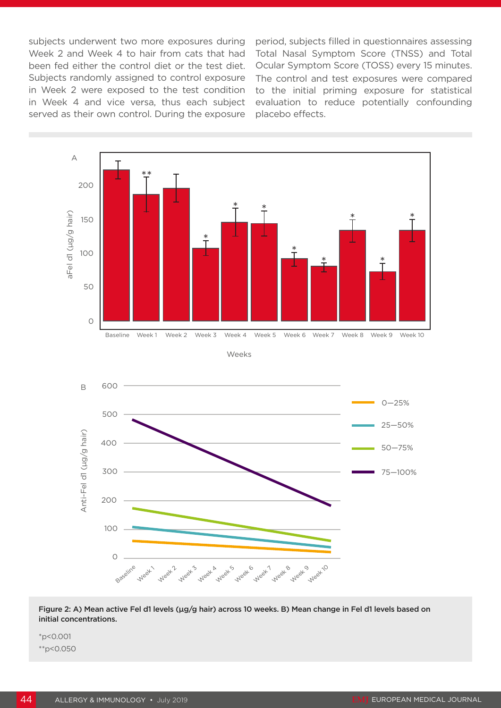subjects underwent two more exposures during Week 2 and Week 4 to hair from cats that had been fed either the control diet or the test diet. Subjects randomly assigned to control exposure in Week 2 were exposed to the test condition in Week 4 and vice versa, thus each subject served as their own control. During the exposure

period, subjects filled in questionnaires assessing Total Nasal Symptom Score (TNSS) and Total Ocular Symptom Score (TOSS) every 15 minutes. The control and test exposures were compared to the initial priming exposure for statistical evaluation to reduce potentially confounding placebo effects.



Figure 2: A) Mean active Fel d1 levels (µg/g hair) across 10 weeks. B) Mean change in Fel d1 levels based on initial concentrations.

\*p<0.001 \*\*p<0.050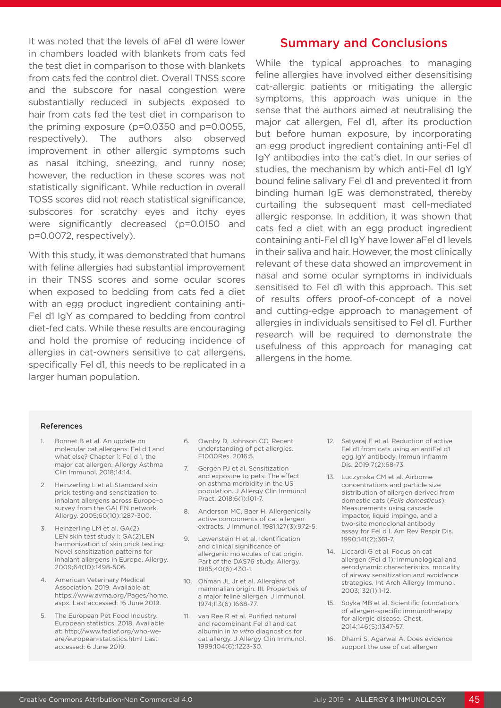It was noted that the levels of aFel d1 were lower in chambers loaded with blankets from cats fed the test diet in comparison to those with blankets from cats fed the control diet. Overall TNSS score and the subscore for nasal congestion were substantially reduced in subjects exposed to hair from cats fed the test diet in comparison to the priming exposure (p=0.0350 and p=0.0055, respectively). The authors also observed improvement in other allergic symptoms such as nasal itching, sneezing, and runny nose; however, the reduction in these scores was not statistically significant. While reduction in overall TOSS scores did not reach statistical significance, subscores for scratchy eyes and itchy eyes were significantly decreased (p=0.0150 and p=0.0072, respectively).

With this study, it was demonstrated that humans with feline allergies had substantial improvement in their TNSS scores and some ocular scores when exposed to bedding from cats fed a diet with an egg product ingredient containing anti-Fel d1 IgY as compared to bedding from control diet-fed cats. While these results are encouraging and hold the promise of reducing incidence of allergies in cat-owners sensitive to cat allergens, specifically Fel d1, this needs to be replicated in a larger human population.

#### Summary and Conclusions

While the typical approaches to managing feline allergies have involved either desensitising cat-allergic patients or mitigating the allergic symptoms, this approach was unique in the sense that the authors aimed at neutralising the major cat allergen, Fel d1, after its production but before human exposure, by incorporating an egg product ingredient containing anti-Fel d1 IgY antibodies into the cat's diet. In our series of studies, the mechanism by which anti-Fel d1 IgY bound feline salivary Fel d1 and prevented it from binding human IgE was demonstrated, thereby curtailing the subsequent mast cell-mediated allergic response. In addition, it was shown that cats fed a diet with an egg product ingredient containing anti-Fel d1 IgY have lower aFel d1 levels in their saliva and hair. However, the most clinically relevant of these data showed an improvement in nasal and some ocular symptoms in individuals sensitised to Fel d1 with this approach. This set of results offers proof-of-concept of a novel and cutting-edge approach to management of allergies in individuals sensitised to Fel d1. Further research will be required to demonstrate the usefulness of this approach for managing cat allergens in the home.

#### References

- 1. Bonnet B et al. An update on molecular cat allergens: Fel d 1 and what else? Chapter 1: Fel d 1, the major cat allergen. Allergy Asthma Clin Immunol. 2018;14:14.
- 2. Heinzerling L et al. Standard skin prick testing and sensitization to inhalant allergens across Europe–a survey from the GALEN network. Allergy. 2005;60(10):1287-300.
- 3. Heinzerling LM et al. GA(2) LEN skin test study I: GA(2)LEN harmonization of skin prick testing: Novel sensitization patterns for inhalant allergens in Europe. Allergy. 2009;64(10):1498-506.
- 4. American Veterinary Medical Association. 2019. Available at: https://www.avma.org/Pages/home. aspx. Last accessed: 16 June 2019.
- 5. The European Pet Food Industry. European statistics. 2018. Available at: http://www.fediaf.org/who-weare/european-statistics.html Last accessed: 6 June 2019.
- 6. Ownby D, Johnson CC. Recent understanding of pet allergies. F1000Res. 2016;5.
- 7. Gergen PJ et al. Sensitization and exposure to pets: The effect on asthma morbidity in the US population. J Allergy Clin Immunol Pract. 2018;6(1):101-7.
- 8. Anderson MC, Baer H. Allergenically active components of cat allergen extracts. J Immunol. 1981;127(3):972-5.
- 9. Løwenstein H et al. Identification and clinical significance of allergenic molecules of cat origin. Part of the DAS76 study. Allergy. 1985;40(6):430-1.
- 10. Ohman JL Jr et al. Allergens of mammalian origin. III. Properties of a major feline allergen. J Immunol. 1974;113(6):1668-77.
- 11. van Ree R et al. Purified natural and recombinant Fel d1 and cat albumin in *in vitro* diagnostics for cat allergy. J Allergy Clin Immunol. 1999;104(6):1223-30.
- 12. Satyaraj E et al. Reduction of active Fel d1 from cats using an antiFel d1 egg IgY antibody. Immun Inflamm Dis. 2019;7(2):68-73.
- 13. Luczynska CM et al. Airborne concentrations and particle size distribution of allergen derived from domestic cats (*Felis domesticus*): Measurements using cascade impactor, liquid impinge, and a two-site monoclonal antibody assay for Fel d I. Am Rev Respir Dis. 1990;141(2):361-7.
- 14. Liccardi G et al. Focus on cat allergen (Fel d 1): Immunological and aerodynamic characteristics, modality of airway sensitization and avoidance strategies. Int Arch Allergy Immunol. 2003;132(1):1-12.
- 15. Soyka MB et al. Scientific foundations of allergen-specific immunotherapy for allergic disease. Chest. 2014;146(5):1347-57.
- 16. Dhami S, Agarwal A. Does evidence support the use of cat allergen